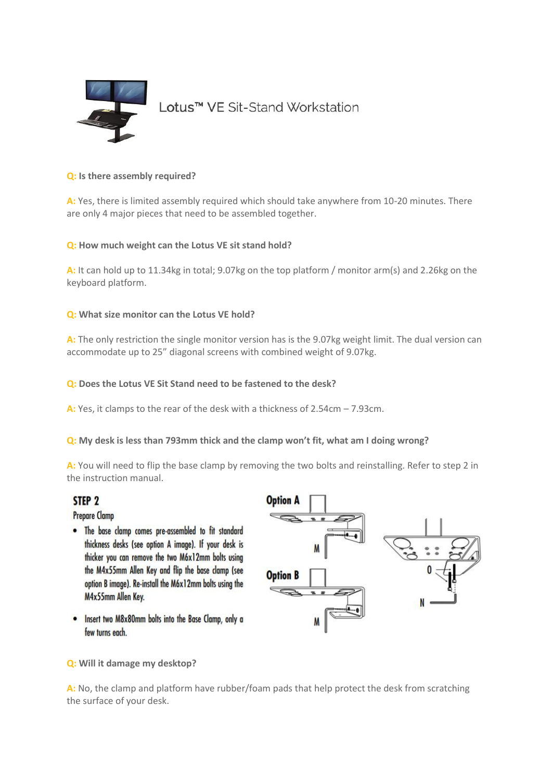

### **Q: [Is there assembly required?](https://www.fellowes.com/gb/en/resources/health-and-wellbeing/lotus-faqs.aspx#collapse1c)**

**A:** Yes, there is limited assembly required which should take anywhere from 10-20 minutes. There are only 4 major pieces that need to be assembled together.

## **Q: [How much weight can the Lotus VE sit stand hold?](https://www.fellowes.com/gb/en/resources/health-and-wellbeing/lotus-faqs.aspx#collapse2c)**

**A:** It can hold up to 11.34kg in total; 9.07kg on the top platform / monitor arm(s) and 2.26kg on the keyboard platform.

## **Q: [What size monitor can the Lotus VE hold?](https://www.fellowes.com/gb/en/resources/health-and-wellbeing/lotus-faqs.aspx#collapse3c)**

**A:** The only restriction the single monitor version has is the 9.07kg weight limit. The dual version can accommodate up to 25" diagonal screens with combined weight of 9.07kg.

### **Q: [Does the Lotus VE Sit Stand need to be fastened to the desk?](https://www.fellowes.com/gb/en/resources/health-and-wellbeing/lotus-faqs.aspx#collapse4c)**

**A:** Yes, it clamps to the rear of the desk with a thickness of 2.54cm – 7.93cm.

**Q: [My desk is less than 793mm thick and the clamp won't fit, what am I doing wrong?](https://www.fellowes.com/gb/en/resources/health-and-wellbeing/lotus-faqs.aspx#collapse5c)**

**A:** You will need to flip the base clamp by removing the two bolts and reinstalling. Refer to step 2 in the instruction manual.

# STEP<sub>2</sub>

**Prepare Clamp** 

- The base clamp comes pre-assembled to fit standard thickness desks (see option A image). If your desk is thicker you can remove the two M6x12mm bolts using the M4x55mm Allen Key and flip the base clamp (see option B image). Re-install the M6x12mm bolts using the M4x55mm Allen Key.
- . Insert two M8x80mm bolts into the Base Clamp, only a few turns each.



**Q: [Will it damage my desktop?](https://www.fellowes.com/gb/en/resources/health-and-wellbeing/lotus-faqs.aspx#collapse6c)**

**A:** No, the clamp and platform have rubber/foam pads that help protect the desk from scratching the surface of your desk.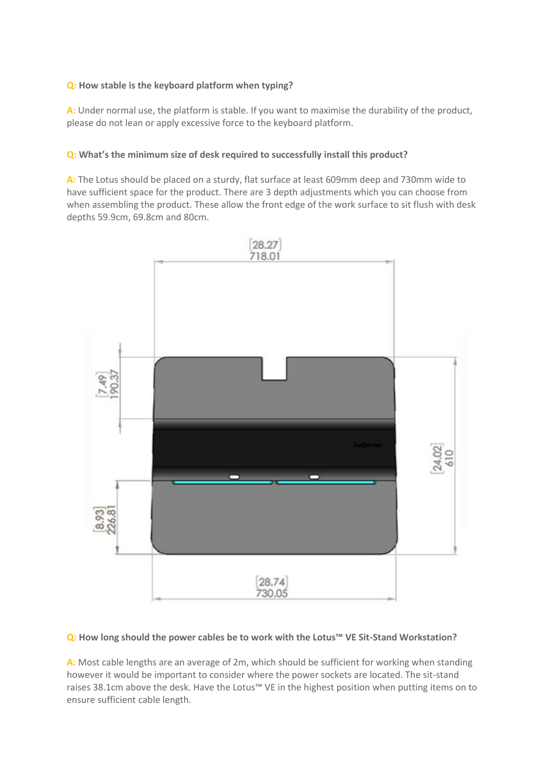# **Q: [How stable is the keyboard platform when typing?](https://www.fellowes.com/gb/en/resources/health-and-wellbeing/lotus-faqs.aspx#collapse7c)**

**A:** Under normal use, the platform is stable. If you want to maximise the durability of the product, please do not lean or apply excessive force to the keyboard platform.

## **Q: [What's the minimum size of desk required to successfully](https://www.fellowes.com/gb/en/resources/health-and-wellbeing/lotus-faqs.aspx#collapse8c) install this product?**

**A:** The Lotus should be placed on a sturdy, flat surface at least 609mm deep and 730mm wide to have sufficient space for the product. There are 3 depth adjustments which you can choose from when assembling the product. These allow the front edge of the work surface to sit flush with desk depths 59.9cm, 69.8cm and 80cm.



### **Q: [How long should the power cables be to work with the Lotus™ VE Sit](https://www.fellowes.com/gb/en/resources/health-and-wellbeing/lotus-faqs.aspx#collapse9c)-Stand Workstation?**

**A:** Most cable lengths are an average of 2m, which should be sufficient for working when standing however it would be important to consider where the power sockets are located. The sit-stand raises 38.1cm above the desk. Have the Lotus™ VE in the highest position when putting items on to ensure sufficient cable length.